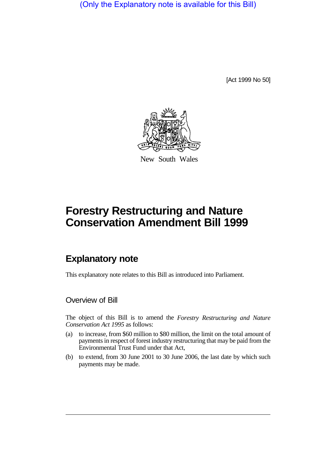(Only the Explanatory note is available for this Bill)

[Act 1999 No 50]



New South Wales

# **Forestry Restructuring and Nature Conservation Amendment Bill 1999**

# **Explanatory note**

This explanatory note relates to this Bill as introduced into Parliament.

#### Overview of Bill

The object of this Bill is to amend the *Forestry Restructuring and Nature Conservation Act 1995* as follows:

- (a) to increase, from \$60 million to \$80 million, the limit on the total amount of payments in respect of forest industry restructuring that may be paid from the Environmental Trust Fund under that Act,
- (b) to extend, from 30 June 2001 to 30 June 2006, the last date by which such payments may be made.